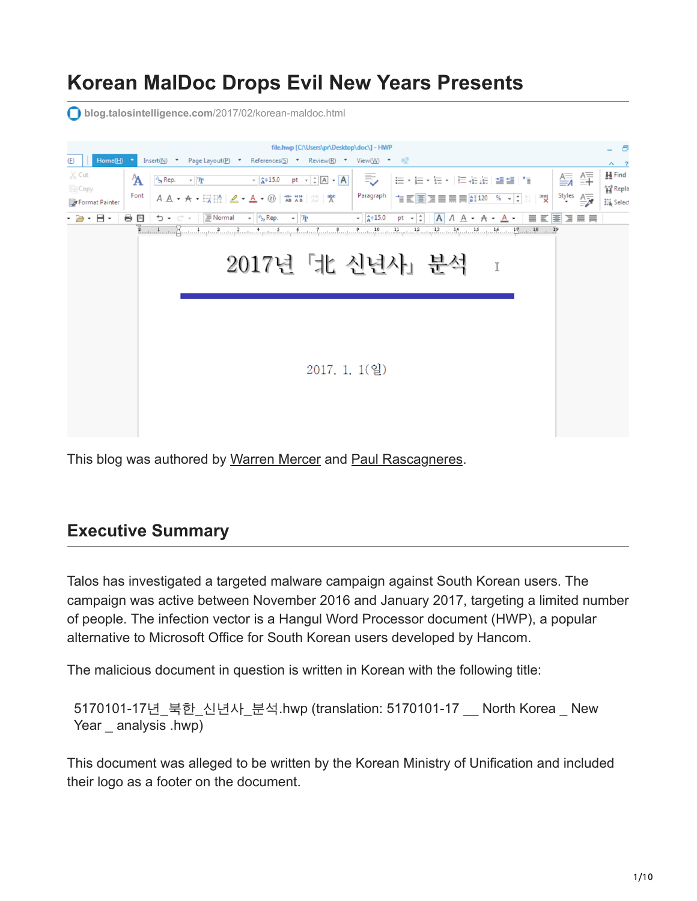# **Korean MalDoc Drops Evil New Years Presents**

**blog.talosintelligence.com**[/2017/02/korean-maldoc.html](http://blog.talosintelligence.com/2017/02/korean-maldoc.html)



This blog was authored by [Warren Mercer](https://blogs.cisco.com/author/warrenmercer) and [Paul Rascagneres](https://www.blogger.com/profile/10073079939160046441).

## **Executive Summary**

Talos has investigated a targeted malware campaign against South Korean users. The campaign was active between November 2016 and January 2017, targeting a limited number of people. The infection vector is a Hangul Word Processor document (HWP), a popular alternative to Microsoft Office for South Korean users developed by Hancom.

The malicious document in question is written in Korean with the following title:

5170101-17년\_북한\_신년사\_분석.hwp (translation: 5170101-17 \_\_ North Korea \_ New Year analysis .hwp)

This document was alleged to be written by the Korean Ministry of Unification and included their logo as a footer on the document.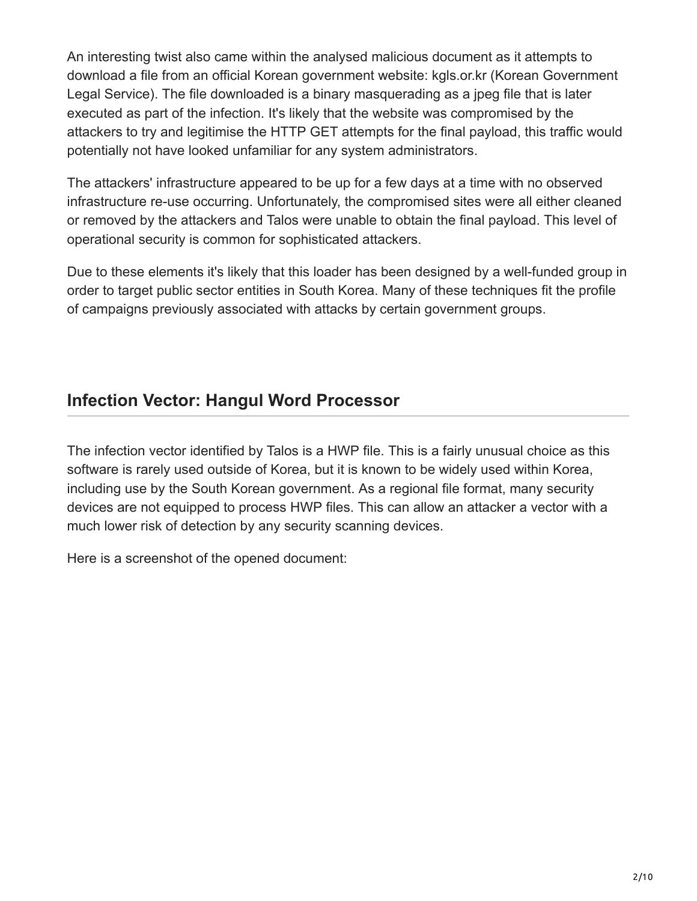An interesting twist also came within the analysed malicious document as it attempts to download a file from an official Korean government website: kgls.or.kr (Korean Government Legal Service). The file downloaded is a binary masquerading as a jpeg file that is later executed as part of the infection. It's likely that the website was compromised by the attackers to try and legitimise the HTTP GET attempts for the final payload, this traffic would potentially not have looked unfamiliar for any system administrators.

The attackers' infrastructure appeared to be up for a few days at a time with no observed infrastructure re-use occurring. Unfortunately, the compromised sites were all either cleaned or removed by the attackers and Talos were unable to obtain the final payload. This level of operational security is common for sophisticated attackers.

Due to these elements it's likely that this loader has been designed by a well-funded group in order to target public sector entities in South Korea. Many of these techniques fit the profile of campaigns previously associated with attacks by certain government groups.

## **Infection Vector: Hangul Word Processor**

The infection vector identified by Talos is a HWP file. This is a fairly unusual choice as this software is rarely used outside of Korea, but it is known to be widely used within Korea, including use by the South Korean government. As a regional file format, many security devices are not equipped to process HWP files. This can allow an attacker a vector with a much lower risk of detection by any security scanning devices.

Here is a screenshot of the opened document: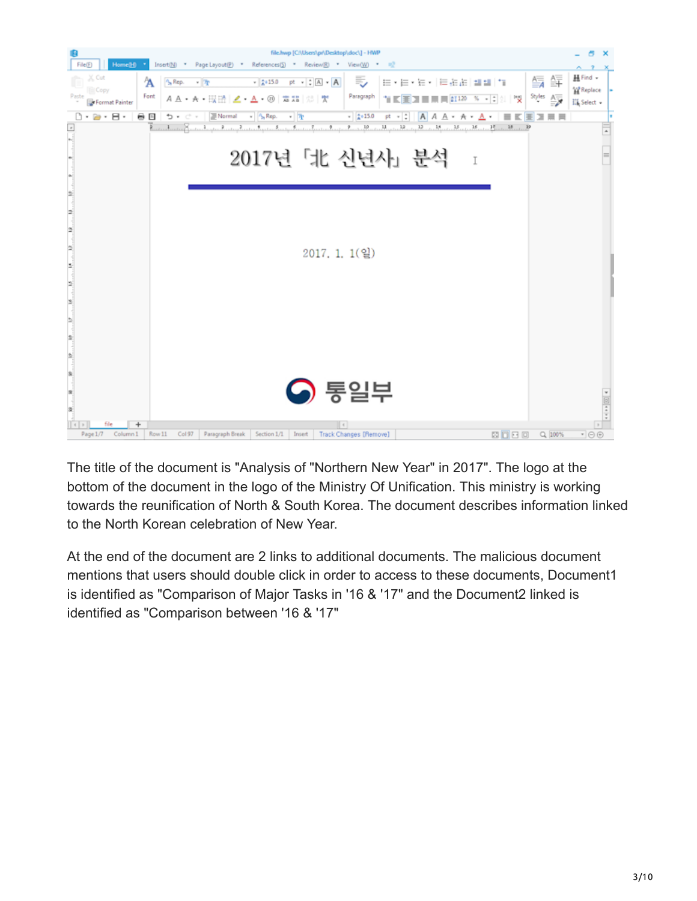

The title of the document is "Analysis of "Northern New Year" in 2017". The logo at the bottom of the document in the logo of the Ministry Of Unification. This ministry is working towards the reunification of North & South Korea. The document describes information linked to the North Korean celebration of New Year.

At the end of the document are 2 links to additional documents. The malicious document mentions that users should double click in order to access to these documents, Document1 is identified as "Comparison of Major Tasks in '16 & '17" and the Document2 linked is identified as "Comparison between '16 & '17"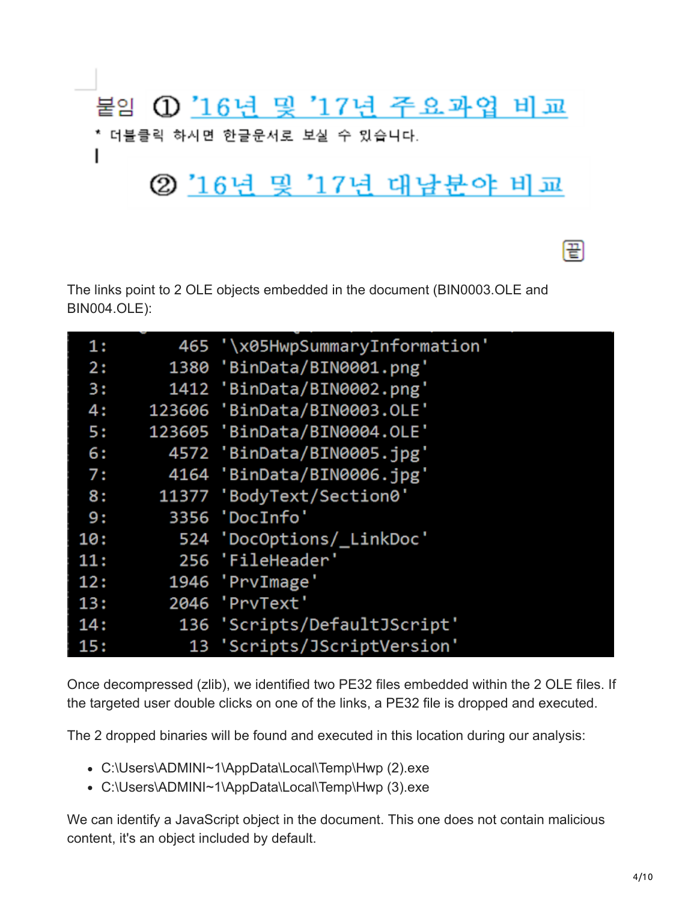

The links point to 2 OLE objects embedded in the document (BIN0003.OLE and BIN004.OLE):

| 1:  | 465 '\x05HwpSummaryInformation' |
|-----|---------------------------------|
| 2:  | 1380 'BinData/BIN0001.png'      |
| 3:  | 1412 'BinData/BIN0002.png'      |
| 4:  | 123606 'BinData/BIN0003.OLE'    |
| 5:  | 123605 'BinData/BIN0004.OLE'    |
| 6:  | 4572 'BinData/BIN0005.jpg'      |
| 7:  | 4164 'BinData/BIN0006.jpg'      |
| 8:  | 11377 'BodyText/Section0'       |
| 9 : | 3356 'DocInfo'                  |
| 10: | 524 'DocOptions/_LinkDoc'       |
| 11: | 256 'FileHeader'                |
| 12: | 1946 'PrvImage'                 |
| 13: | 2046 'PrvText'                  |
| 14: | 136 'Scripts/DefaultJScript'    |
| 15: | 13 'Scripts/JScriptVersion'     |

Once decompressed (zlib), we identified two PE32 files embedded within the 2 OLE files. If the targeted user double clicks on one of the links, a PE32 file is dropped and executed.

The 2 dropped binaries will be found and executed in this location during our analysis:

- C:\Users\ADMINI~1\AppData\Local\Temp\Hwp (2).exe
- C:\Users\ADMINI~1\AppData\Local\Temp\Hwp (3).exe

We can identify a JavaScript object in the document. This one does not contain malicious content, it's an object included by default.

띰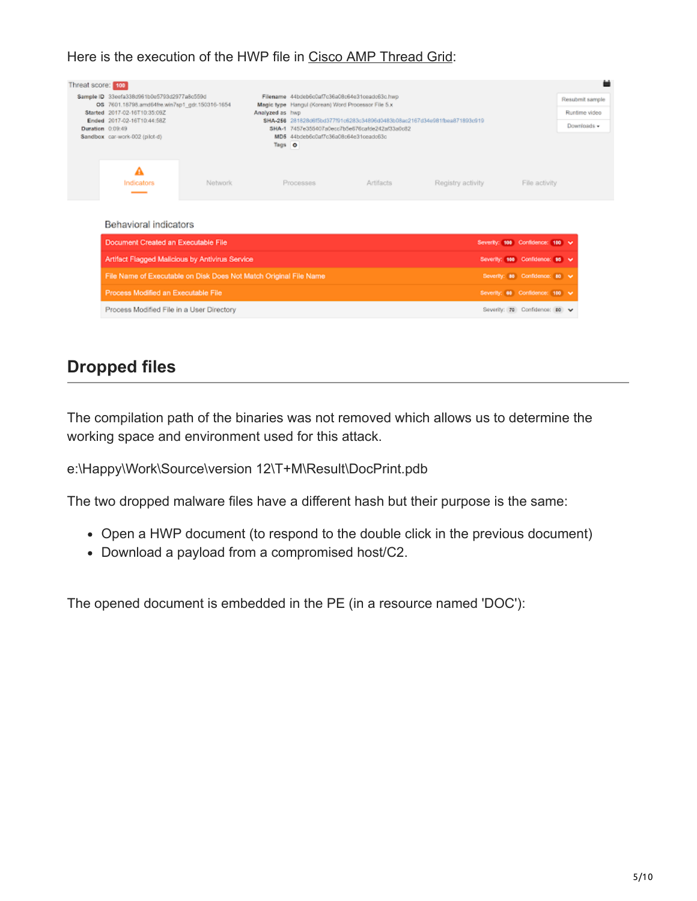#### Here is the execution of the HWP file in [Cisco AMP Thread Grid:](https://www.cisco.com/c/en/us/products/security/amp-threat-grid-appliances/index.html)

| Threat score: 100<br>Duration 0:09:49 | Sample ID 33eefa338d961b0e5793d2977a8c559d<br>OS 7601.18798.amd64fre.win7sp1_gdr.150316-1654<br>Started 2017-02-16T10:35:09Z<br>Ended 2017-02-16T10:44:58Z<br>Sandbox car-work-002 (pilot-d) |         | Filename 44bdeb6c0af7c36a08c64e31ceadc63c.hwp<br>Magic type Hangul (Korean) Word Processor File 5.x<br>Analyzed as hwp<br>SHA-256 281828d6f5bd377f91c6283c34896d0483b08ac2167d34e981fbea871893c919<br>SHA-1 7457e355407a0ecc7b5e676cafde242af33a0c82<br>MD5 44bdeb6o0af7o36a08c64e31oeado63o<br>Tags O |           |                                | ٠<br>Resubmit sample<br>Runtime video<br>Downloads - |  |  |
|---------------------------------------|----------------------------------------------------------------------------------------------------------------------------------------------------------------------------------------------|---------|--------------------------------------------------------------------------------------------------------------------------------------------------------------------------------------------------------------------------------------------------------------------------------------------------------|-----------|--------------------------------|------------------------------------------------------|--|--|
|                                       | Α<br>Indicators                                                                                                                                                                              | Network | Processes                                                                                                                                                                                                                                                                                              | Artifacts | Registry activity              | File activity                                        |  |  |
|                                       | Behavioral indicators                                                                                                                                                                        |         |                                                                                                                                                                                                                                                                                                        |           |                                |                                                      |  |  |
|                                       | Document Created an Executable File                                                                                                                                                          |         |                                                                                                                                                                                                                                                                                                        |           |                                | Severity: 100 Confidence: 100 v                      |  |  |
|                                       | Artifact Flagged Malicious by Antivirus Service                                                                                                                                              |         |                                                                                                                                                                                                                                                                                                        |           | Severity: 100 Confidence: 95 V |                                                      |  |  |
|                                       | File Name of Executable on Disk Does Not Match Original File Name                                                                                                                            |         |                                                                                                                                                                                                                                                                                                        |           |                                | Severity: 80 Confidence: 80 V                        |  |  |
|                                       | Process Modified an Executable File                                                                                                                                                          |         |                                                                                                                                                                                                                                                                                                        |           |                                | Severity: 60 Confidence: 100 v                       |  |  |
|                                       | Process Modified File in a User Directory                                                                                                                                                    |         |                                                                                                                                                                                                                                                                                                        |           |                                | Severity: 70 Confidence: 80 V                        |  |  |

## **Dropped files**

The compilation path of the binaries was not removed which allows us to determine the working space and environment used for this attack.

e:\Happy\Work\Source\version 12\T+M\Result\DocPrint.pdb

The two dropped malware files have a different hash but their purpose is the same:

- Open a HWP document (to respond to the double click in the previous document)
- Download a payload from a compromised host/C2.

The opened document is embedded in the PE (in a resource named 'DOC'):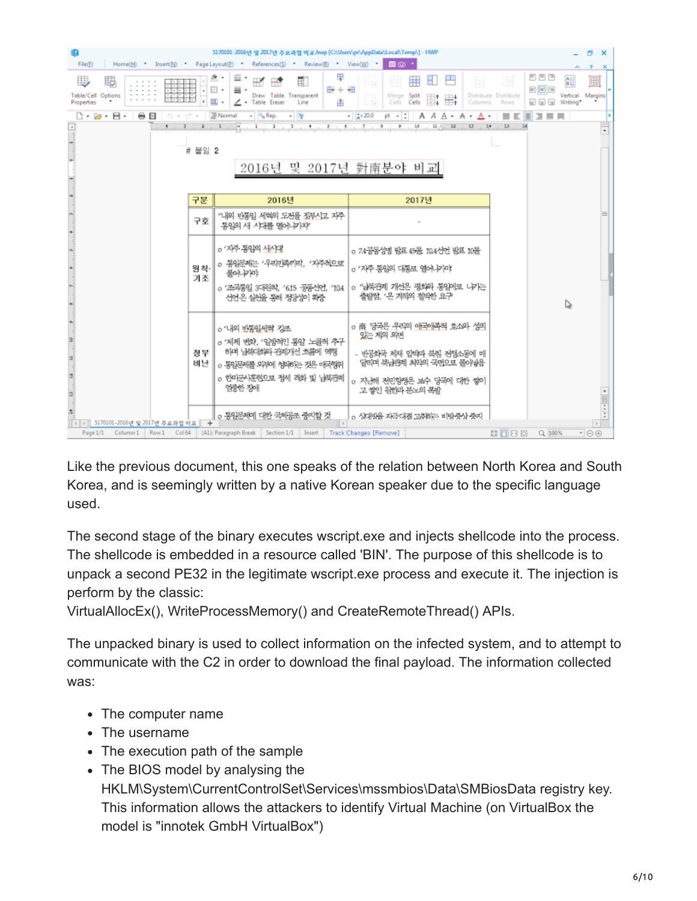| File(E)                                                                                                                                                                                                  | 5170101-2016년 및 2017년 주요과업 비로.hwp [C:\Users\pr\AppData\Local\Temp\] - HWP<br>Home[H] Insert[N] Page Layout[P] References[S] Review[R] View[W] *                | $\equiv$ (Q) $\rightarrow$                                                                                                                                            |                                                               | e.<br>$\boldsymbol{\mathsf{x}}$                                |  |  |  |
|----------------------------------------------------------------------------------------------------------------------------------------------------------------------------------------------------------|----------------------------------------------------------------------------------------------------------------------------------------------------------------|-----------------------------------------------------------------------------------------------------------------------------------------------------------------------|---------------------------------------------------------------|----------------------------------------------------------------|--|--|--|
| B<br>BB<br>Table/Cell Options<br>Properties                                                                                                                                                              | $E + E$<br>⊞ +<br>≡ ∙<br>Draw Table Transparent<br>П.<br>$\angle$ - Table Eraser<br>Line                                                                       | ₩<br>Н<br>ы<br>匣<br>Merge Split<br>$H = 1$<br>₩,<br>Cells<br>Cells<br>$\frac{1}{2}$<br>Columns                                                                        | 国国国<br>⊞<br>eee<br>Distribute Distribute<br>63 53 53<br>Rows. | $\mathbb{a}$<br>$\blacksquare$<br>Vertical Margins<br>Writing* |  |  |  |
| $\Rightarrow$ $\Rightarrow$ $\Rightarrow$ $\Rightarrow$ Normal $\Rightarrow$ $\frac{a}{2}$ Rep.<br>pt = t<br>$ -\pi$<br>$-20.0$<br>$A A A \cdot A \cdot A$<br>0 - 2 - 8 -<br>习票员<br>в<br>81 K            |                                                                                                                                                                |                                                                                                                                                                       |                                                               |                                                                |  |  |  |
| $\overline{\phantom{a}}$<br>15                                                                                                                                                                           |                                                                                                                                                                |                                                                                                                                                                       |                                                               |                                                                |  |  |  |
|                                                                                                                                                                                                          | # 붙임 2                                                                                                                                                         |                                                                                                                                                                       |                                                               |                                                                |  |  |  |
|                                                                                                                                                                                                          | 2016년 및 2017년 對南분야 비교                                                                                                                                          |                                                                                                                                                                       |                                                               |                                                                |  |  |  |
|                                                                                                                                                                                                          |                                                                                                                                                                |                                                                                                                                                                       |                                                               |                                                                |  |  |  |
|                                                                                                                                                                                                          |                                                                                                                                                                |                                                                                                                                                                       |                                                               |                                                                |  |  |  |
| 구분                                                                                                                                                                                                       | 2016년                                                                                                                                                          | 2017년                                                                                                                                                                 |                                                               |                                                                |  |  |  |
| 구호                                                                                                                                                                                                       | "내외 반통임 세력의 도전을 짓부시고 자주<br>통일의 새 시대를 열어나가자                                                                                                                     |                                                                                                                                                                       |                                                               |                                                                |  |  |  |
| 원칙<br>기조                                                                                                                                                                                                 | o '자주 동일의 사사대'<br>o 통일문제는 '우리민족끼리', '자주적으로'<br>풀어나기야<br>。公子房沿 35秒84, 615 공동산언, 184<br>선언은 실원을 통해 정당성이 화증                                                       | o 74공동성명 발표 45돌 104선언 발표 10돌<br>o '자주 통임의 대통로 염아-i기야'<br>o '남북관계 개선은 평화와 통암에로 나가는<br>출발점, '은 겨레의 점박한 요구                                                               |                                                               | ▷                                                              |  |  |  |
| 정무<br>비난ㅣ<br>$\mathfrak{a}$<br>ă.                                                                                                                                                                        | o '나의 반통일세력 경조<br>o '체제 변화, '일방적인 통일' 노골적 추구<br>하며 남북대회와 관계가선 흐름에 역행<br>o 동일문제를 외부에 청부하는 것은 매국행위<br>o 한마군사훈련으로 정세 격화 및 남북관계<br>엄중한 장애<br>o 통일문제에 대한 국제공조 중지할 것 | o 南 당국은 우리의 애국에족적 호소와 성의<br>있는 제의 의면<br>- 반공화국 제재 입학과 북침 전쟁소동에 매<br>달리며 북남판계 최악의 국민으로 몰아넣음<br>o 지난해 전민항쟁은 보수 당국에 대한 쌓이<br>고 쌓인 원한과 분노의 폭발<br>o 상대방을 자극대결 고추비는 비방중상 중지 |                                                               | 441114                                                         |  |  |  |
| ←  →    5170101-2016년 및 2017년 주요과업 비로   <br>$\rightarrow$<br>(A1): Paragraph Break Section 1/1<br>問口日日<br>Page 1/1 Column 1 Row 1 Col 64<br>Track Changes [Remove]<br>$\cdot \Theta$<br>Insert<br>Q 100% |                                                                                                                                                                |                                                                                                                                                                       |                                                               |                                                                |  |  |  |

Like the previous document, this one speaks of the relation between North Korea and South Korea, and is seemingly written by a native Korean speaker due to the specific language used.

The second stage of the binary executes wscript.exe and injects shellcode into the process. The shellcode is embedded in a resource called 'BIN'. The purpose of this shellcode is to unpack a second PE32 in the legitimate wscript.exe process and execute it. The injection is perform by the classic:

VirtualAllocEx(), WriteProcessMemory() and CreateRemoteThread() APIs.

The unpacked binary is used to collect information on the infected system, and to attempt to communicate with the C2 in order to download the final payload. The information collected was:

- The computer name
- The username
- The execution path of the sample
- The BIOS model by analysing the
- HKLM\System\CurrentControlSet\Services\mssmbios\Data\SMBiosData registry key. This information allows the attackers to identify Virtual Machine (on VirtualBox the model is "innotek GmbH VirtualBox")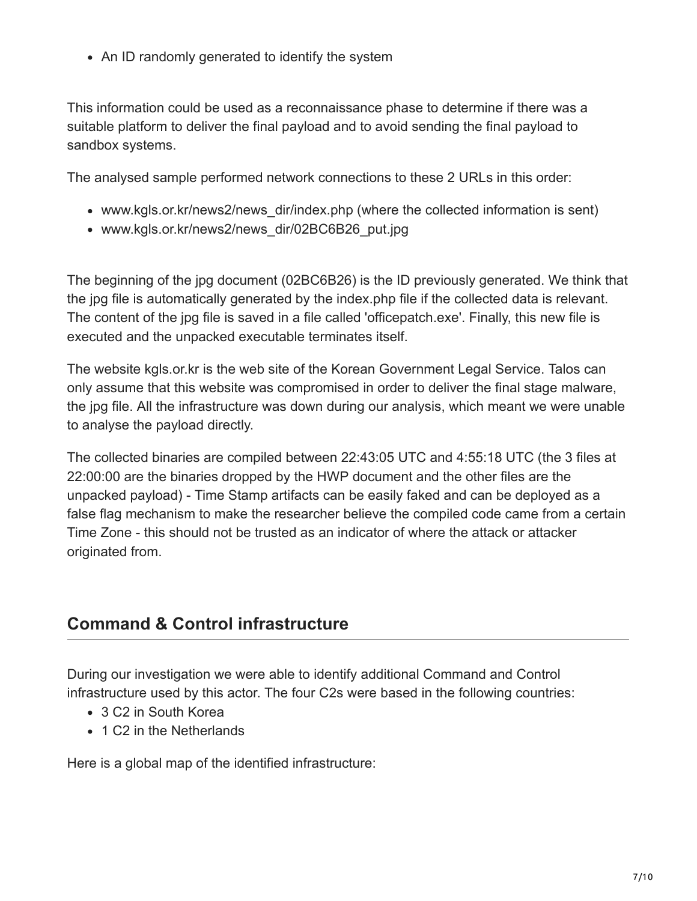• An ID randomly generated to identify the system

This information could be used as a reconnaissance phase to determine if there was a suitable platform to deliver the final payload and to avoid sending the final payload to sandbox systems.

The analysed sample performed network connections to these 2 URLs in this order:

- www.kgls.or.kr/news2/news\_dir/index.php (where the collected information is sent)
- www.kgls.or.kr/news2/news\_dir/02BC6B26\_put.jpg

The beginning of the jpg document (02BC6B26) is the ID previously generated. We think that the jpg file is automatically generated by the index.php file if the collected data is relevant. The content of the jpg file is saved in a file called 'officepatch.exe'. Finally, this new file is executed and the unpacked executable terminates itself.

The website kgls.or.kr is the web site of the Korean Government Legal Service. Talos can only assume that this website was compromised in order to deliver the final stage malware, the jpg file. All the infrastructure was down during our analysis, which meant we were unable to analyse the payload directly.

The collected binaries are compiled between 22:43:05 UTC and 4:55:18 UTC (the 3 files at 22:00:00 are the binaries dropped by the HWP document and the other files are the unpacked payload) - Time Stamp artifacts can be easily faked and can be deployed as a false flag mechanism to make the researcher believe the compiled code came from a certain Time Zone - this should not be trusted as an indicator of where the attack or attacker originated from.

## **Command & Control infrastructure**

During our investigation we were able to identify additional Command and Control infrastructure used by this actor. The four C2s were based in the following countries:

- 3 C2 in South Korea
- 1 C2 in the Netherlands

Here is a global map of the identified infrastructure: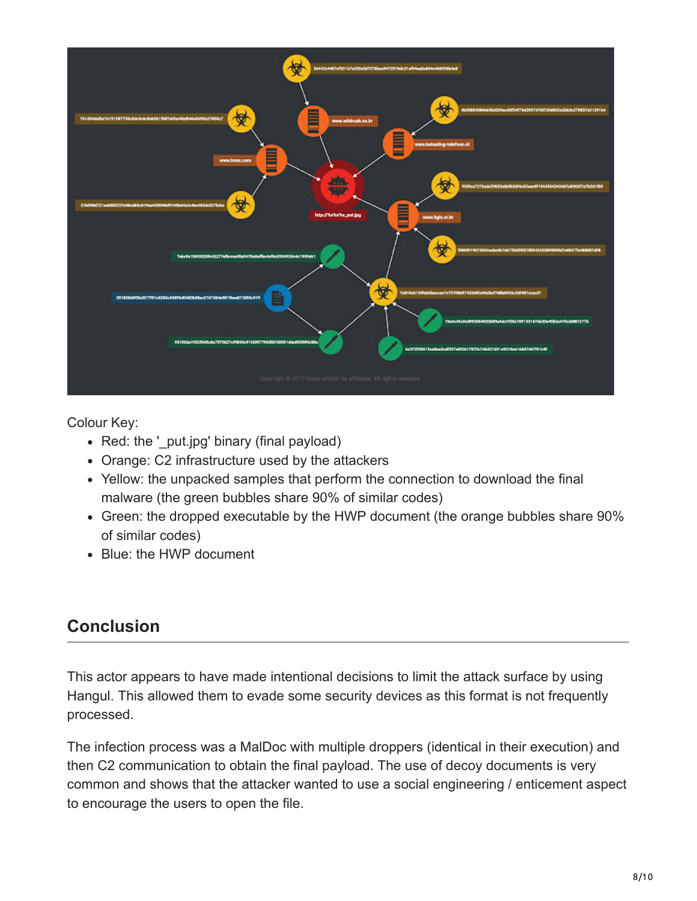

Colour Key:

- Red: the ' put.jpg' binary (final payload)
- Orange: C2 infrastructure used by the attackers
- Yellow: the unpacked samples that perform the connection to download the final malware (the green bubbles share 90% of similar codes)
- Green: the dropped executable by the HWP document (the orange bubbles share 90% of similar codes)
- Blue: the HWP document

## **Conclusion**

This actor appears to have made intentional decisions to limit the attack surface by using Hangul. This allowed them to evade some security devices as this format is not frequently processed.

The infection process was a MalDoc with multiple droppers (identical in their execution) and then C2 communication to obtain the final payload. The use of decoy documents is very common and shows that the attacker wanted to use a social engineering / enticement aspect to encourage the users to open the file.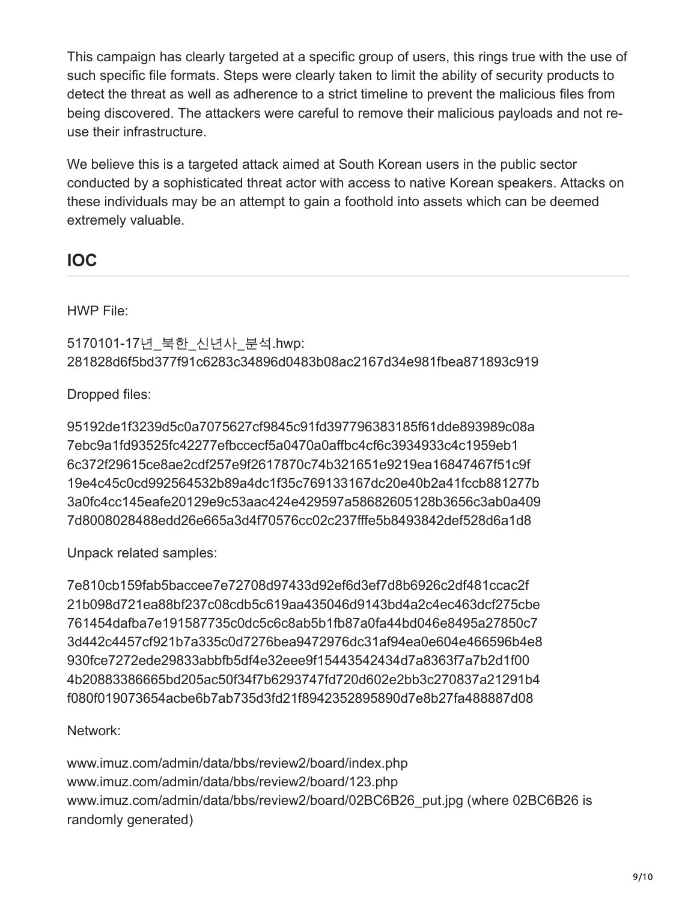This campaign has clearly targeted at a specific group of users, this rings true with the use of such specific file formats. Steps were clearly taken to limit the ability of security products to detect the threat as well as adherence to a strict timeline to prevent the malicious files from being discovered. The attackers were careful to remove their malicious payloads and not reuse their infrastructure.

We believe this is a targeted attack aimed at South Korean users in the public sector conducted by a sophisticated threat actor with access to native Korean speakers. Attacks on these individuals may be an attempt to gain a foothold into assets which can be deemed extremely valuable.

## **IOC**

HWP File:

5170101-17년\_북한\_신년사\_분석.hwp: 281828d6f5bd377f91c6283c34896d0483b08ac2167d34e981fbea871893c919

Dropped files:

95192de1f3239d5c0a7075627cf9845c91fd397796383185f61dde893989c08a 7ebc9a1fd93525fc42277efbccecf5a0470a0affbc4cf6c3934933c4c1959eb1 6c372f29615ce8ae2cdf257e9f2617870c74b321651e9219ea16847467f51c9f 19e4c45c0cd992564532b89a4dc1f35c769133167dc20e40b2a41fccb881277b 3a0fc4cc145eafe20129e9c53aac424e429597a58682605128b3656c3ab0a409 7d8008028488edd26e665a3d4f70576cc02c237fffe5b8493842def528d6a1d8

Unpack related samples:

7e810cb159fab5baccee7e72708d97433d92ef6d3ef7d8b6926c2df481ccac2f 21b098d721ea88bf237c08cdb5c619aa435046d9143bd4a2c4ec463dcf275cbe 761454dafba7e191587735c0dc5c6c8ab5b1fb87a0fa44bd046e8495a27850c7 3d442c4457cf921b7a335c0d7276bea9472976dc31af94ea0e604e466596b4e8 930fce7272ede29833abbfb5df4e32eee9f15443542434d7a8363f7a7b2d1f00 4b20883386665bd205ac50f34f7b6293747fd720d602e2bb3c270837a21291b4 f080f019073654acbe6b7ab735d3fd21f8942352895890d7e8b27fa488887d08

Network:

www.imuz.com/admin/data/bbs/review2/board/index.php www.imuz.com/admin/data/bbs/review2/board/123.php www.imuz.com/admin/data/bbs/review2/board/02BC6B26\_put.jpg (where 02BC6B26 is randomly generated)